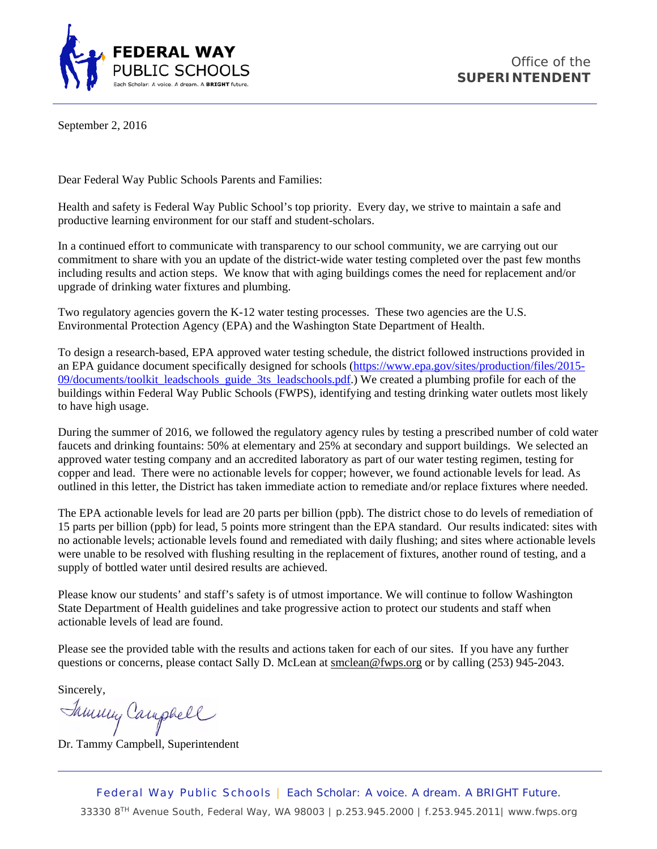

September 2, 2016

Dear Federal Way Public Schools Parents and Families:

Health and safety is Federal Way Public School's top priority. Every day, we strive to maintain a safe and productive learning environment for our staff and student-scholars.

In a continued effort to communicate with transparency to our school community, we are carrying out our commitment to share with you an update of the district-wide water testing completed over the past few months including results and action steps. We know that with aging buildings comes the need for replacement and/or upgrade of drinking water fixtures and plumbing.

Two regulatory agencies govern the K-12 water testing processes. These two agencies are the U.S. Environmental Protection Agency (EPA) and the Washington State Department of Health.

To design a research-based, EPA approved water testing schedule, the district followed instructions provided in an EPA guidance document specifically designed for schools (https://www.epa.gov/sites/production/files/2015- 09/documents/toolkit\_leadschools\_guide\_3ts\_leadschools.pdf.) We created a plumbing profile for each of the buildings within Federal Way Public Schools (FWPS), identifying and testing drinking water outlets most likely to have high usage.

During the summer of 2016, we followed the regulatory agency rules by testing a prescribed number of cold water faucets and drinking fountains: 50% at elementary and 25% at secondary and support buildings. We selected an approved water testing company and an accredited laboratory as part of our water testing regimen, testing for copper and lead. There were no actionable levels for copper; however, we found actionable levels for lead. As outlined in this letter, the District has taken immediate action to remediate and/or replace fixtures where needed.

The EPA actionable levels for lead are 20 parts per billion (ppb). The district chose to do levels of remediation of 15 parts per billion (ppb) for lead, 5 points more stringent than the EPA standard. Our results indicated: sites with no actionable levels; actionable levels found and remediated with daily flushing; and sites where actionable levels were unable to be resolved with flushing resulting in the replacement of fixtures, another round of testing, and a supply of bottled water until desired results are achieved.

Please know our students' and staff's safety is of utmost importance. We will continue to follow Washington State Department of Health guidelines and take progressive action to protect our students and staff when actionable levels of lead are found.

Please see the provided table with the results and actions taken for each of our sites. If you have any further questions or concerns, please contact Sally D. McLean at smclean@fwps.org or by calling (253) 945-2043.

Sincerely,

Tammy Campbell

Dr. Tammy Campbell, Superintendent

Federal Way Public Schools | Each Scholar: A voice. A dream. A BRIGHT Future. 33330  $8^{TH}$  Avenue South, Federal Way, WA 98003 | p.253.945.2000 | f.253.945.2011| www.fwps.org